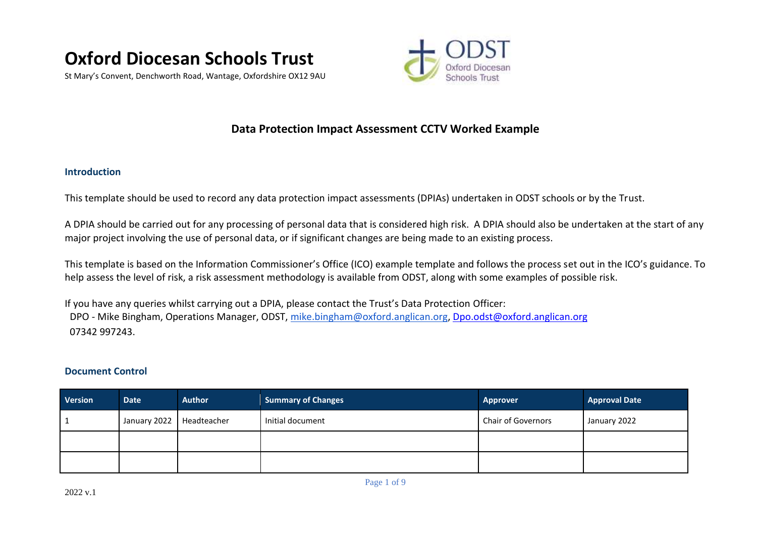

St Mary's Convent, Denchworth Road, Wantage, Oxfordshire OX12 9AU



# **Data Protection Impact Assessment CCTV Worked Example**

### **Introduction**

This template should be used to record any data protection impact assessments (DPIAs) undertaken in ODST schools or by the Trust.

A DPIA should be carried out for any processing of personal data that is considered high risk. A DPIA should also be undertaken at the start of any major project involving the use of personal data, or if significant changes are being made to an existing process.

This template is based on the Information Commissioner's Office (ICO) example template and follows the process set out in the ICO's guidance. To help assess the level of risk, a risk assessment methodology is available from ODST, along with some examples of possible risk.

If you have any queries whilst carrying out a DPIA, please contact the Trust's Data Protection Officer: DPO - Mike Bingham, Operations Manager, ODST, [mike.bingham@oxford.anglican.org,](mailto:mike.bingham@oxford.anglican.org) [Dpo.odst@oxford.anglican.org](mailto:Dpo.odst@oxford.anglican.org) 07342 997243.

## **Document Control**

| <b>Version</b> | <b>Date</b>                | <b>Author</b> | <b>Summary of Changes</b> | <b>Approver</b>    | <b>Approval Date</b> |
|----------------|----------------------------|---------------|---------------------------|--------------------|----------------------|
|                | January 2022   Headteacher |               | Initial document          | Chair of Governors | January 2022         |
|                |                            |               |                           |                    |                      |
|                |                            |               |                           |                    |                      |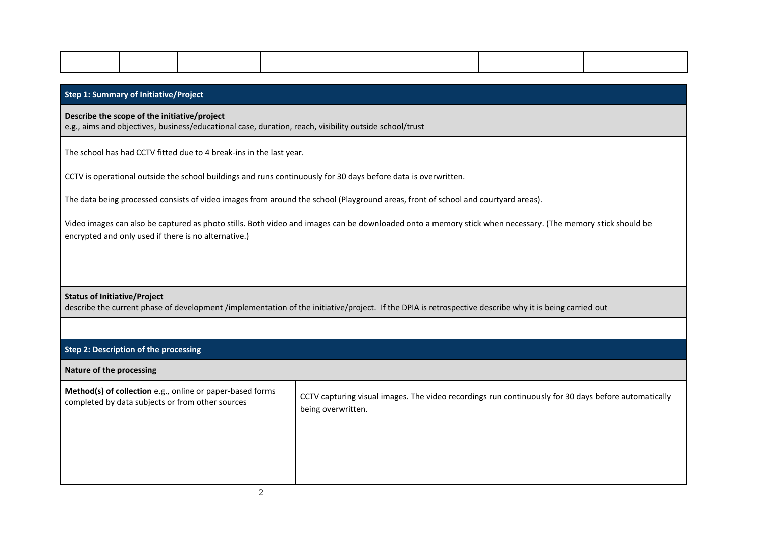| <b>Step 1: Summary of Initiative/Project</b>                                                                                                           |                                                                                                                                                                                                                    |                                                                     |  |  |  |  |
|--------------------------------------------------------------------------------------------------------------------------------------------------------|--------------------------------------------------------------------------------------------------------------------------------------------------------------------------------------------------------------------|---------------------------------------------------------------------|--|--|--|--|
| Describe the scope of the initiative/project<br>e.g., aims and objectives, business/educational case, duration, reach, visibility outside school/trust |                                                                                                                                                                                                                    |                                                                     |  |  |  |  |
|                                                                                                                                                        |                                                                                                                                                                                                                    | The school has had CCTV fitted due to 4 break-ins in the last year. |  |  |  |  |
|                                                                                                                                                        | CCTV is operational outside the school buildings and runs continuously for 30 days before data is overwritten.                                                                                                     |                                                                     |  |  |  |  |
| The data being processed consists of video images from around the school (Playground areas, front of school and courtyard areas).                      |                                                                                                                                                                                                                    |                                                                     |  |  |  |  |
|                                                                                                                                                        | Video images can also be captured as photo stills. Both video and images can be downloaded onto a memory stick when necessary. (The memory stick should be<br>encrypted and only used if there is no alternative.) |                                                                     |  |  |  |  |
|                                                                                                                                                        |                                                                                                                                                                                                                    |                                                                     |  |  |  |  |

# **Status of Initiative/Project**

describe the current phase of development /implementation of the initiative/project. If the DPIA is retrospective describe why it is being carried out

# **Step 2: Description of the processing**

### **Nature of the processing**

| Method(s) of collection e.g., online or paper-based forms<br>completed by data subjects or from other sources | CCTV capturing visual images. The video recordings run continuously for 30 days before automatically<br>being overwritten. |
|---------------------------------------------------------------------------------------------------------------|----------------------------------------------------------------------------------------------------------------------------|
|                                                                                                               |                                                                                                                            |
|                                                                                                               |                                                                                                                            |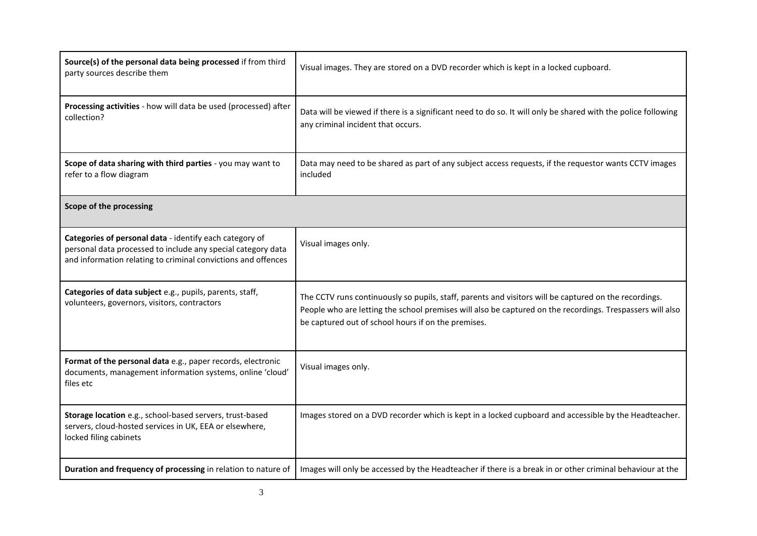| Source(s) of the personal data being processed if from third<br>party sources describe them                                                                                              | Visual images. They are stored on a DVD recorder which is kept in a locked cupboard.                                                                                                                                                                                      |
|------------------------------------------------------------------------------------------------------------------------------------------------------------------------------------------|---------------------------------------------------------------------------------------------------------------------------------------------------------------------------------------------------------------------------------------------------------------------------|
| Processing activities - how will data be used (processed) after<br>collection?                                                                                                           | Data will be viewed if there is a significant need to do so. It will only be shared with the police following<br>any criminal incident that occurs.                                                                                                                       |
| Scope of data sharing with third parties - you may want to<br>refer to a flow diagram                                                                                                    | Data may need to be shared as part of any subject access requests, if the requestor wants CCTV images<br>included                                                                                                                                                         |
| Scope of the processing                                                                                                                                                                  |                                                                                                                                                                                                                                                                           |
| Categories of personal data - identify each category of<br>personal data processed to include any special category data<br>and information relating to criminal convictions and offences | Visual images only.                                                                                                                                                                                                                                                       |
| Categories of data subject e.g., pupils, parents, staff,<br>volunteers, governors, visitors, contractors                                                                                 | The CCTV runs continuously so pupils, staff, parents and visitors will be captured on the recordings.<br>People who are letting the school premises will also be captured on the recordings. Trespassers will also<br>be captured out of school hours if on the premises. |
| Format of the personal data e.g., paper records, electronic<br>documents, management information systems, online 'cloud'<br>files etc                                                    | Visual images only.                                                                                                                                                                                                                                                       |
| Storage location e.g., school-based servers, trust-based<br>servers, cloud-hosted services in UK, EEA or elsewhere,<br>locked filing cabinets                                            | Images stored on a DVD recorder which is kept in a locked cupboard and accessible by the Headteacher.                                                                                                                                                                     |
| Duration and frequency of processing in relation to nature of                                                                                                                            | Images will only be accessed by the Headteacher if there is a break in or other criminal behaviour at the                                                                                                                                                                 |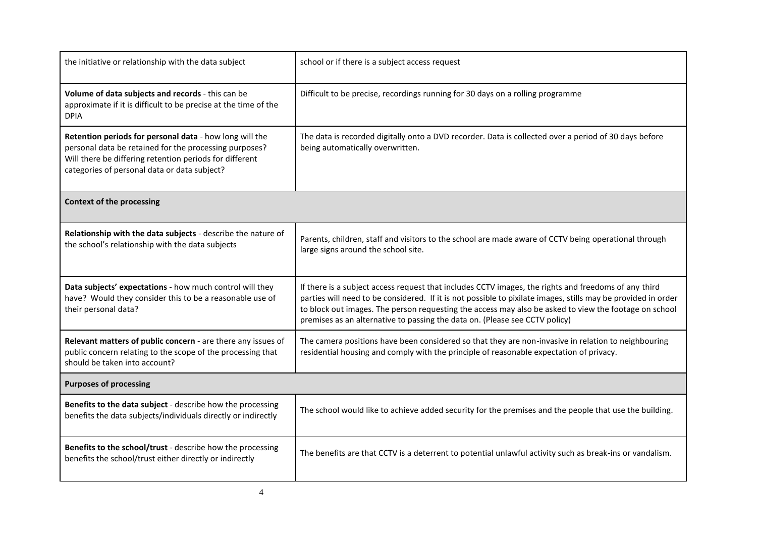| the initiative or relationship with the data subject                                                                                                                                                                         | school or if there is a subject access request                                                                                                                                                                                                                                                                                                                                                                |
|------------------------------------------------------------------------------------------------------------------------------------------------------------------------------------------------------------------------------|---------------------------------------------------------------------------------------------------------------------------------------------------------------------------------------------------------------------------------------------------------------------------------------------------------------------------------------------------------------------------------------------------------------|
| Volume of data subjects and records - this can be<br>approximate if it is difficult to be precise at the time of the<br><b>DPIA</b>                                                                                          | Difficult to be precise, recordings running for 30 days on a rolling programme                                                                                                                                                                                                                                                                                                                                |
| Retention periods for personal data - how long will the<br>personal data be retained for the processing purposes?<br>Will there be differing retention periods for different<br>categories of personal data or data subject? | The data is recorded digitally onto a DVD recorder. Data is collected over a period of 30 days before<br>being automatically overwritten.                                                                                                                                                                                                                                                                     |
| <b>Context of the processing</b>                                                                                                                                                                                             |                                                                                                                                                                                                                                                                                                                                                                                                               |
| Relationship with the data subjects - describe the nature of<br>the school's relationship with the data subjects                                                                                                             | Parents, children, staff and visitors to the school are made aware of CCTV being operational through<br>large signs around the school site.                                                                                                                                                                                                                                                                   |
| Data subjects' expectations - how much control will they<br>have? Would they consider this to be a reasonable use of<br>their personal data?                                                                                 | If there is a subject access request that includes CCTV images, the rights and freedoms of any third<br>parties will need to be considered. If it is not possible to pixilate images, stills may be provided in order<br>to block out images. The person requesting the access may also be asked to view the footage on school<br>premises as an alternative to passing the data on. (Please see CCTV policy) |
| Relevant matters of public concern - are there any issues of<br>public concern relating to the scope of the processing that<br>should be taken into account?                                                                 | The camera positions have been considered so that they are non-invasive in relation to neighbouring<br>residential housing and comply with the principle of reasonable expectation of privacy.                                                                                                                                                                                                                |
| <b>Purposes of processing</b>                                                                                                                                                                                                |                                                                                                                                                                                                                                                                                                                                                                                                               |
| Benefits to the data subject - describe how the processing<br>benefits the data subjects/individuals directly or indirectly                                                                                                  | The school would like to achieve added security for the premises and the people that use the building.                                                                                                                                                                                                                                                                                                        |
| Benefits to the school/trust - describe how the processing<br>benefits the school/trust either directly or indirectly                                                                                                        | The benefits are that CCTV is a deterrent to potential unlawful activity such as break-ins or vandalism.                                                                                                                                                                                                                                                                                                      |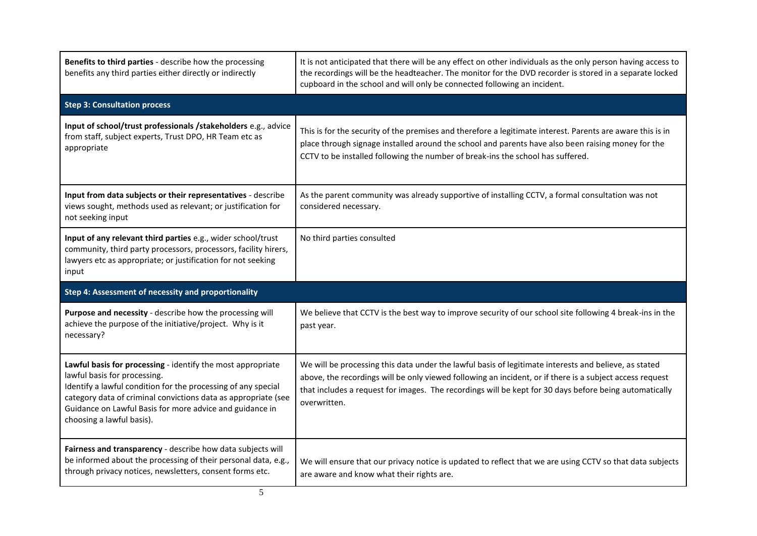| Benefits to third parties - describe how the processing<br>benefits any third parties either directly or indirectly                                                                                                                                                                                                     | It is not anticipated that there will be any effect on other individuals as the only person having access to<br>the recordings will be the headteacher. The monitor for the DVD recorder is stored in a separate locked<br>cupboard in the school and will only be connected following an incident.                                         |
|-------------------------------------------------------------------------------------------------------------------------------------------------------------------------------------------------------------------------------------------------------------------------------------------------------------------------|---------------------------------------------------------------------------------------------------------------------------------------------------------------------------------------------------------------------------------------------------------------------------------------------------------------------------------------------|
| <b>Step 3: Consultation process</b>                                                                                                                                                                                                                                                                                     |                                                                                                                                                                                                                                                                                                                                             |
| Input of school/trust professionals /stakeholders e.g., advice<br>from staff, subject experts, Trust DPO, HR Team etc as<br>appropriate                                                                                                                                                                                 | This is for the security of the premises and therefore a legitimate interest. Parents are aware this is in<br>place through signage installed around the school and parents have also been raising money for the<br>CCTV to be installed following the number of break-ins the school has suffered.                                         |
| Input from data subjects or their representatives - describe<br>views sought, methods used as relevant; or justification for<br>not seeking input                                                                                                                                                                       | As the parent community was already supportive of installing CCTV, a formal consultation was not<br>considered necessary.                                                                                                                                                                                                                   |
| Input of any relevant third parties e.g., wider school/trust<br>community, third party processors, processors, facility hirers,<br>lawyers etc as appropriate; or justification for not seeking<br>input                                                                                                                | No third parties consulted                                                                                                                                                                                                                                                                                                                  |
| Step 4: Assessment of necessity and proportionality                                                                                                                                                                                                                                                                     |                                                                                                                                                                                                                                                                                                                                             |
| Purpose and necessity - describe how the processing will<br>achieve the purpose of the initiative/project. Why is it<br>necessary?                                                                                                                                                                                      | We believe that CCTV is the best way to improve security of our school site following 4 break-ins in the<br>past year.                                                                                                                                                                                                                      |
| Lawful basis for processing - identify the most appropriate<br>lawful basis for processing.<br>Identify a lawful condition for the processing of any special<br>category data of criminal convictions data as appropriate (see<br>Guidance on Lawful Basis for more advice and guidance in<br>choosing a lawful basis). | We will be processing this data under the lawful basis of legitimate interests and believe, as stated<br>above, the recordings will be only viewed following an incident, or if there is a subject access request<br>that includes a request for images. The recordings will be kept for 30 days before being automatically<br>overwritten. |
| Fairness and transparency - describe how data subjects will<br>be informed about the processing of their personal data, e.g.,<br>through privacy notices, newsletters, consent forms etc.                                                                                                                               | We will ensure that our privacy notice is updated to reflect that we are using CCTV so that data subjects<br>are aware and know what their rights are.                                                                                                                                                                                      |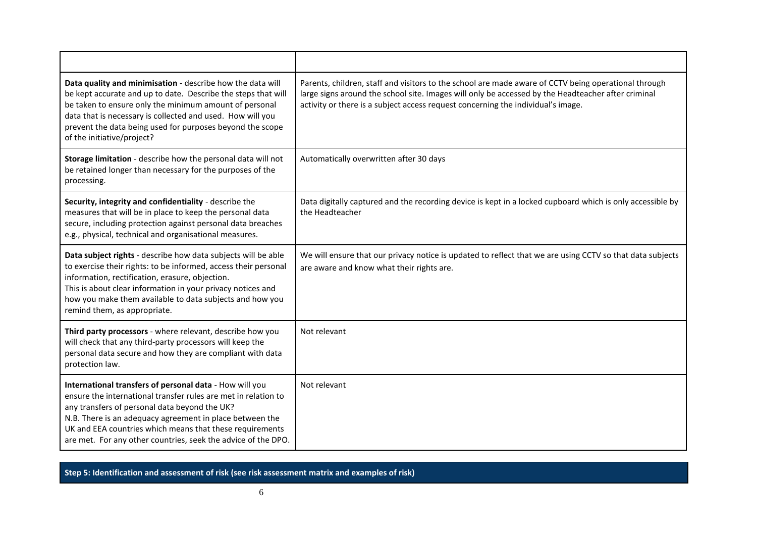| Data quality and minimisation - describe how the data will<br>be kept accurate and up to date. Describe the steps that will<br>be taken to ensure only the minimum amount of personal<br>data that is necessary is collected and used. How will you<br>prevent the data being used for purposes beyond the scope<br>of the initiative/project?                      | Parents, children, staff and visitors to the school are made aware of CCTV being operational through<br>large signs around the school site. Images will only be accessed by the Headteacher after criminal<br>activity or there is a subject access request concerning the individual's image. |
|---------------------------------------------------------------------------------------------------------------------------------------------------------------------------------------------------------------------------------------------------------------------------------------------------------------------------------------------------------------------|------------------------------------------------------------------------------------------------------------------------------------------------------------------------------------------------------------------------------------------------------------------------------------------------|
| Storage limitation - describe how the personal data will not<br>be retained longer than necessary for the purposes of the<br>processing.                                                                                                                                                                                                                            | Automatically overwritten after 30 days                                                                                                                                                                                                                                                        |
| Security, integrity and confidentiality - describe the<br>measures that will be in place to keep the personal data<br>secure, including protection against personal data breaches<br>e.g., physical, technical and organisational measures.                                                                                                                         | Data digitally captured and the recording device is kept in a locked cupboard which is only accessible by<br>the Headteacher                                                                                                                                                                   |
| Data subject rights - describe how data subjects will be able<br>to exercise their rights: to be informed, access their personal<br>information, rectification, erasure, objection.<br>This is about clear information in your privacy notices and<br>how you make them available to data subjects and how you<br>remind them, as appropriate.                      | We will ensure that our privacy notice is updated to reflect that we are using CCTV so that data subjects<br>are aware and know what their rights are.                                                                                                                                         |
| Third party processors - where relevant, describe how you<br>will check that any third-party processors will keep the<br>personal data secure and how they are compliant with data<br>protection law.                                                                                                                                                               | Not relevant                                                                                                                                                                                                                                                                                   |
| International transfers of personal data - How will you<br>ensure the international transfer rules are met in relation to<br>any transfers of personal data beyond the UK?<br>N.B. There is an adequacy agreement in place between the<br>UK and EEA countries which means that these requirements<br>are met. For any other countries, seek the advice of the DPO. | Not relevant                                                                                                                                                                                                                                                                                   |

**Step 5: Identification and assessment of risk (see risk assessment matrix and examples of risk)**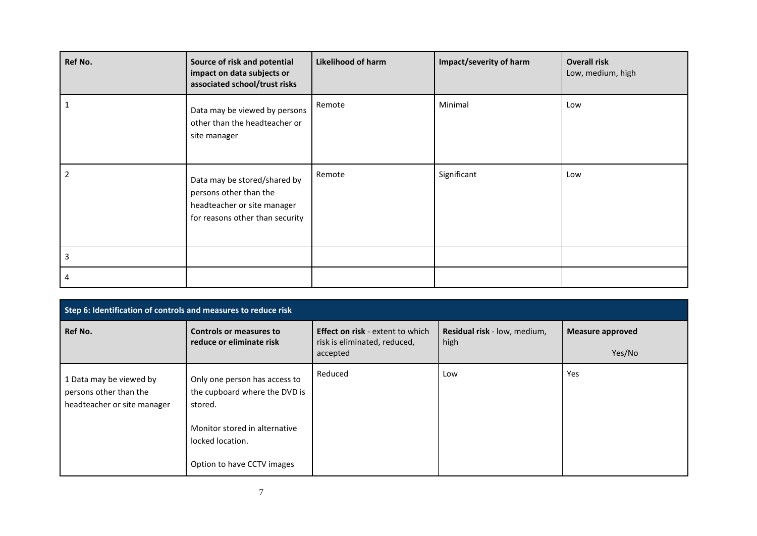| <b>Ref No.</b> | Source of risk and potential<br>impact on data subjects or<br>associated school/trust risks                              | <b>Likelihood of harm</b> | Impact/severity of harm | <b>Overall risk</b><br>Low, medium, high |
|----------------|--------------------------------------------------------------------------------------------------------------------------|---------------------------|-------------------------|------------------------------------------|
|                | Data may be viewed by persons<br>other than the headteacher or<br>site manager                                           | Remote                    | Minimal                 | Low                                      |
| 2              | Data may be stored/shared by<br>persons other than the<br>headteacher or site manager<br>for reasons other than security | Remote                    | Significant             | Low                                      |
| 3              |                                                                                                                          |                           |                         |                                          |
| 4              |                                                                                                                          |                           |                         |                                          |

| Step 6: Identification of controls and measures to reduce risk                   |                                                                                                                                                              |                                                                                     |                                      |                            |  |
|----------------------------------------------------------------------------------|--------------------------------------------------------------------------------------------------------------------------------------------------------------|-------------------------------------------------------------------------------------|--------------------------------------|----------------------------|--|
| Ref No.                                                                          | Controls or measures to<br>reduce or eliminate risk                                                                                                          | <b>Effect on risk - extent to which</b><br>risk is eliminated, reduced,<br>accepted | Residual risk - low, medium,<br>high | Measure approved<br>Yes/No |  |
| 1 Data may be viewed by<br>persons other than the<br>headteacher or site manager | Only one person has access to<br>the cupboard where the DVD is<br>stored.<br>Monitor stored in alternative<br>locked location.<br>Option to have CCTV images | Reduced                                                                             | Low                                  | Yes                        |  |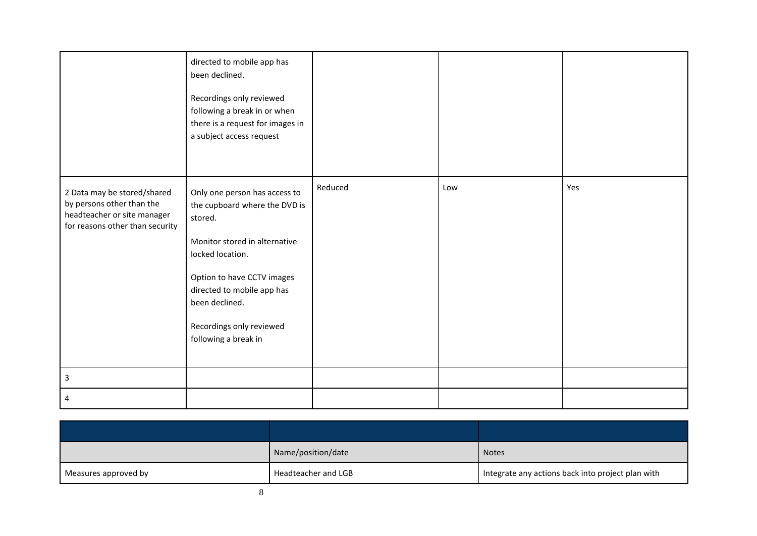|                                                                                                                            | directed to mobile app has<br>been declined.<br>Recordings only reviewed<br>following a break in or when<br>there is a request for images in<br>a subject access request                                                                                         |         |     |     |
|----------------------------------------------------------------------------------------------------------------------------|------------------------------------------------------------------------------------------------------------------------------------------------------------------------------------------------------------------------------------------------------------------|---------|-----|-----|
| 2 Data may be stored/shared<br>by persons other than the<br>headteacher or site manager<br>for reasons other than security | Only one person has access to<br>the cupboard where the DVD is<br>stored.<br>Monitor stored in alternative<br>locked location.<br>Option to have CCTV images<br>directed to mobile app has<br>been declined.<br>Recordings only reviewed<br>following a break in | Reduced | Low | Yes |
| 3                                                                                                                          |                                                                                                                                                                                                                                                                  |         |     |     |
|                                                                                                                            |                                                                                                                                                                                                                                                                  |         |     |     |

|                      | Name/position/date  | <b>Notes</b>                                      |
|----------------------|---------------------|---------------------------------------------------|
| Measures approved by | Headteacher and LGB | Integrate any actions back into project plan with |